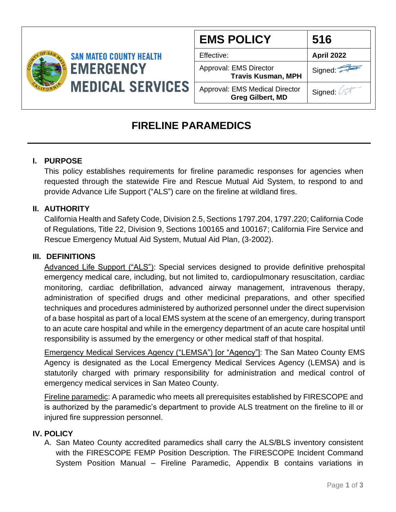

| <b>EMS POLICY</b>                                                | 516               |
|------------------------------------------------------------------|-------------------|
| Effective:                                                       | <b>April 2022</b> |
| Approval: EMS Director<br><b>Travis Kusman, MPH</b>              | Signed:           |
| <b>Approval: EMS Medical Director</b><br><b>Greg Gilbert, MD</b> | Signed: A         |

# **FIRELINE PARAMEDICS**

## **I. PURPOSE**

This policy establishes requirements for fireline paramedic responses for agencies when requested through the statewide Fire and Rescue Mutual Aid System, to respond to and provide Advance Life Support ("ALS") care on the fireline at wildland fires.

## **II. AUTHORITY**

California Health and Safety Code, Division 2.5, Sections 1797.204, 1797.220; California Code of Regulations, Title 22, Division 9, Sections 100165 and 100167; California Fire Service and Rescue Emergency Mutual Aid System, Mutual Aid Plan, (3-2002).

### **III. DEFINITIONS**

Advanced Life Support ("ALS"): Special services designed to provide definitive prehospital emergency medical care, including, but not limited to, cardiopulmonary resuscitation, cardiac monitoring, cardiac defibrillation, advanced airway management, intravenous therapy, administration of specified drugs and other medicinal preparations, and other specified techniques and procedures administered by authorized personnel under the direct supervision of a base hospital as part of a local EMS system at the scene of an emergency, during transport to an acute care hospital and while in the emergency department of an acute care hospital until responsibility is assumed by the emergency or other medical staff of that hospital.

Emergency Medical Services Agency ("LEMSA") [or "Agency"]: The San Mateo County EMS Agency is designated as the Local Emergency Medical Services Agency (LEMSA) and is statutorily charged with primary responsibility for administration and medical control of emergency medical services in San Mateo County.

Fireline paramedic: A paramedic who meets all prerequisites established by FIRESCOPE and is authorized by the paramedic's department to provide ALS treatment on the fireline to ill or injured fire suppression personnel.

### **IV. POLICY**

A. San Mateo County accredited paramedics shall carry the ALS/BLS inventory consistent with the FIRESCOPE FEMP Position Description. The FIRESCOPE Incident Command System Position Manual – Fireline Paramedic, Appendix B contains variations in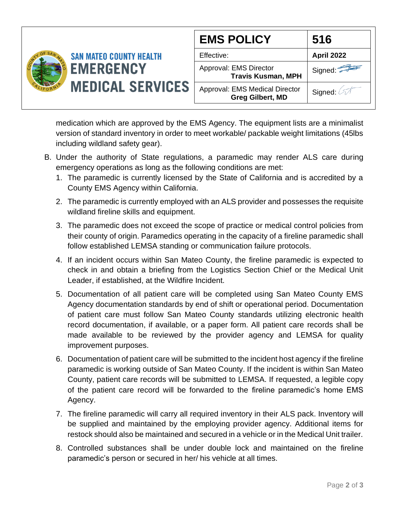

Signed: Signed:  $\oslash$ **516**

medication which are approved by the EMS Agency. The equipment lists are a minimalist version of standard inventory in order to meet workable/ packable weight limitations (45lbs including wildland safety gear).

- B. Under the authority of State regulations, a paramedic may render ALS care during emergency operations as long as the following conditions are met:
	- 1. The paramedic is currently licensed by the State of California and is accredited by a County EMS Agency within California.
	- 2. The paramedic is currently employed with an ALS provider and possesses the requisite wildland fireline skills and equipment.
	- 3. The paramedic does not exceed the scope of practice or medical control policies from their county of origin. Paramedics operating in the capacity of a fireline paramedic shall follow established LEMSA standing or communication failure protocols.
	- 4. If an incident occurs within San Mateo County, the fireline paramedic is expected to check in and obtain a briefing from the Logistics Section Chief or the Medical Unit Leader, if established, at the Wildfire Incident.
	- 5. Documentation of all patient care will be completed using San Mateo County EMS Agency documentation standards by end of shift or operational period. Documentation of patient care must follow San Mateo County standards utilizing electronic health record documentation, if available, or a paper form. All patient care records shall be made available to be reviewed by the provider agency and LEMSA for quality improvement purposes.
	- 6. Documentation of patient care will be submitted to the incident host agency if the fireline paramedic is working outside of San Mateo County. If the incident is within San Mateo County, patient care records will be submitted to LEMSA. If requested, a legible copy of the patient care record will be forwarded to the fireline paramedic's home EMS Agency.
	- 7. The fireline paramedic will carry all required inventory in their ALS pack. Inventory will be supplied and maintained by the employing provider agency. Additional items for restock should also be maintained and secured in a vehicle or in the Medical Unit trailer.
	- 8. Controlled substances shall be under double lock and maintained on the fireline paramedic's person or secured in her/ his vehicle at all times.